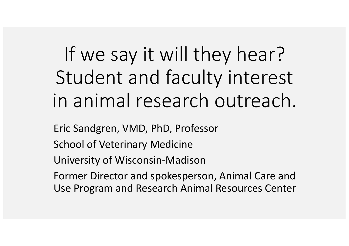# If we say it will they hear? Student and faculty interest in animal research outreach.

Eric Sandgren, VMD, PhD, Professor

School of Veterinary Medicine

University of Wisconsin-Madison

Former Director and spokesperson, Animal Care and Use Program and Research Animal Resources Center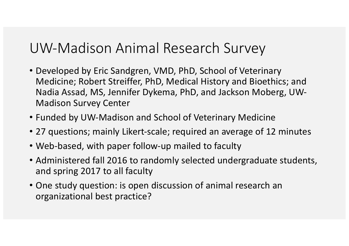## UW-Madison Animal Research Survey

- Developed by Eric Sandgren, VMD, PhD, School of Veterinary Medicine; Robert Streiffer, PhD, Medical History and Bioethics; and Nadia Assad, MS, Jennifer Dykema, PhD, and Jackson Moberg, UW-**Madison Survey Center**
- Funded by UW-Madison and School of Veterinary Medicine
- 27 questions; mainly Likert-scale; required an average of 12 minutes
- Web-based, with paper follow-up mailed to faculty
- Administered fall 2016 to randomly selected undergraduate students, and spring 2017 to all faculty
- One study question: is open discussion of animal research an organizational best practice?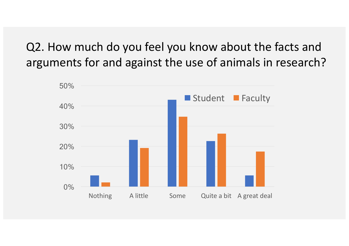### Q2. How much do you feel you know about the facts and arguments for and against the use of animals in research?

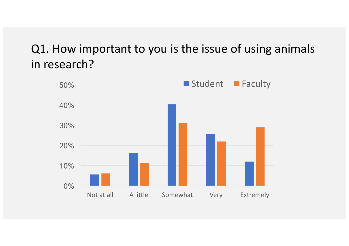#### Q1. How important to you is the issue of using animals in research?

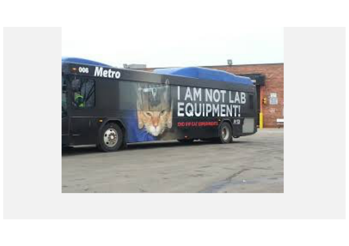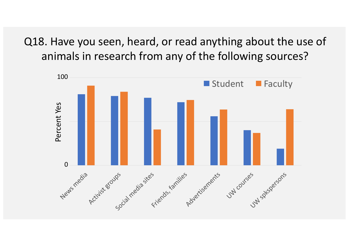Q18. Have you seen, heard, or read anything about the use of animals in research from any of the following sources?

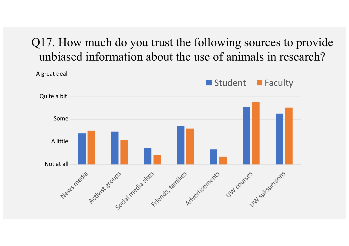Q17. How much do you trust the following sources to provide unbiased information about the use of animals in research?

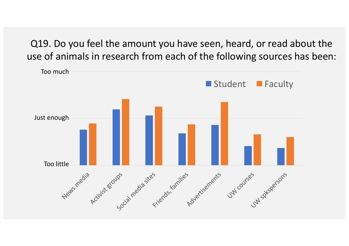Q19. Do you feel the amount you have seen, heard, or read about the use of animals in research from each of the following sources has been:

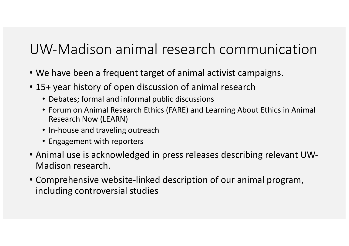## UW-Madison animal research communication

- We have been a frequent target of animal activist campaigns.
- 15+ year history of open discussion of animal research
	- Debates; formal and informal public discussions
	- Forum on Animal Research Ethics (FARE) and Learning About Ethics in Animal Research Now (LEARN)
	- In-house and traveling outreach
	- Engagement with reporters
- Animal use is acknowledged in press releases describing relevant UW-Madison research.
- Comprehensive website-linked description of our animal program, including controversial studies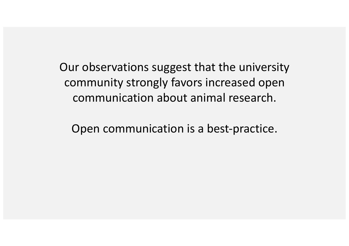Our observations suggest that the university community strongly favors increased open communication about animal research.

Open communication is a best-practice.